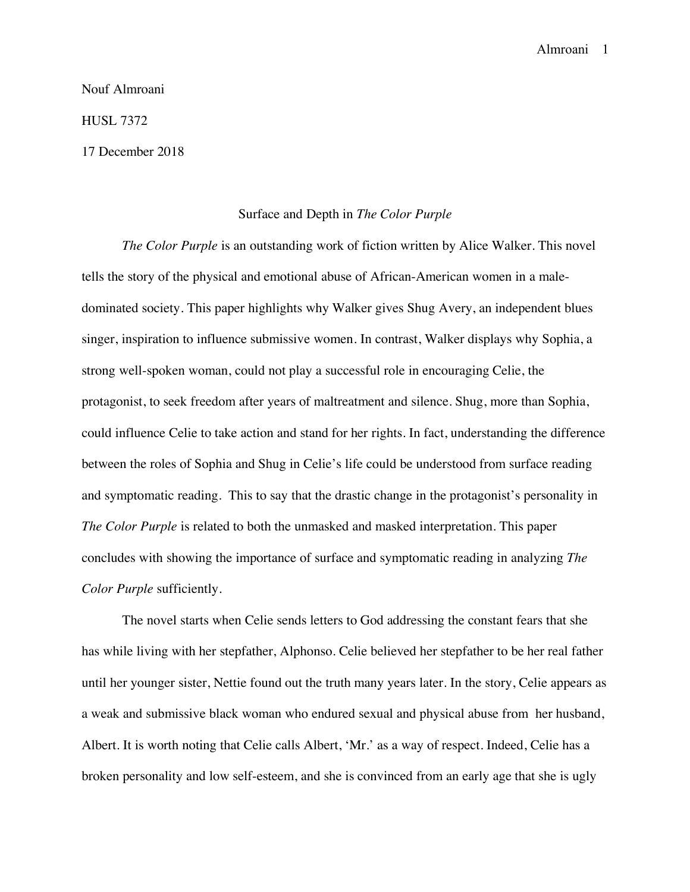Nouf Almroani

HUSL 7372

17 December 2018

## Surface and Depth in *The Color Purple*

*The Color Purple* is an outstanding work of fiction written by Alice Walker. This novel tells the story of the physical and emotional abuse of African-American women in a maledominated society. This paper highlights why Walker gives Shug Avery, an independent blues singer, inspiration to influence submissive women. In contrast, Walker displays why Sophia, a strong well-spoken woman, could not play a successful role in encouraging Celie, the protagonist, to seek freedom after years of maltreatment and silence. Shug, more than Sophia, could influence Celie to take action and stand for her rights. In fact, understanding the difference between the roles of Sophia and Shug in Celie's life could be understood from surface reading and symptomatic reading. This to say that the drastic change in the protagonist's personality in *The Color Purple* is related to both the unmasked and masked interpretation. This paper concludes with showing the importance of surface and symptomatic reading in analyzing *The Color Purple* sufficiently*.* 

The novel starts when Celie sends letters to God addressing the constant fears that she has while living with her stepfather, Alphonso. Celie believed her stepfather to be her real father until her younger sister, Nettie found out the truth many years later. In the story, Celie appears as a weak and submissive black woman who endured sexual and physical abuse from her husband, Albert. It is worth noting that Celie calls Albert, 'Mr.' as a way of respect. Indeed, Celie has a broken personality and low self-esteem, and she is convinced from an early age that she is ugly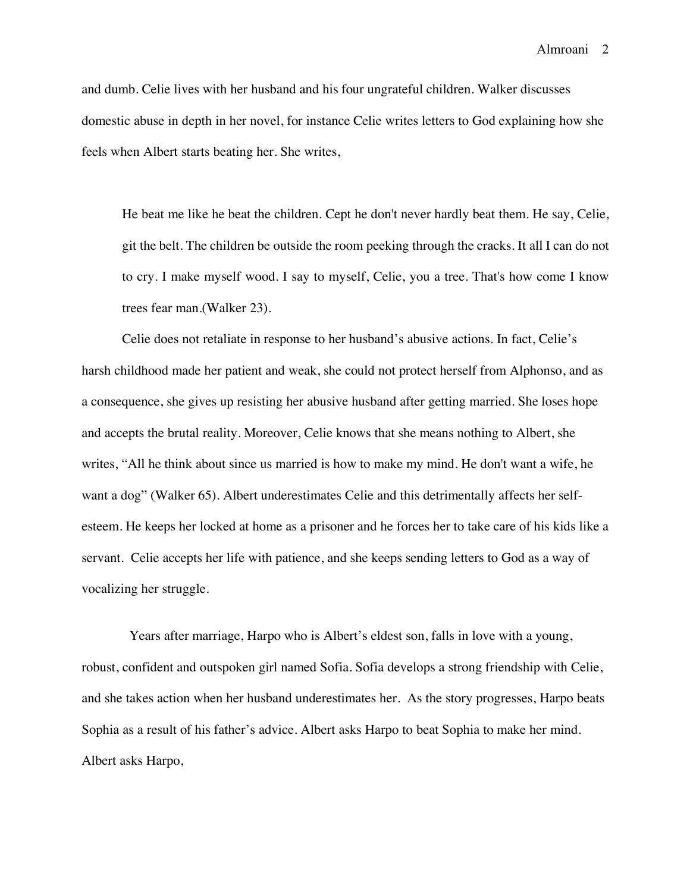and dumb. Celie lives with her husband and his four ungrateful children. Walker discusses domestic abuse in depth in her novel, for instance Celie writes letters to God explaining how she feels when Albert starts beating her. She writes,

He beat me like he beat the children. Cept he don't never hardly beat them. He say, Celie, git the belt. The children be outside the room peeking through the cracks. It all I can do not to cry. I make myself wood. I say to myself, Celie, you a tree. That's how come I know trees fear man.(Walker 23).

Celie does not retaliate in response to her husband's abusive actions. In fact, Celie's harsh childhood made her patient and weak, she could not protect herself from Alphonso, and as a consequence, she gives up resisting her abusive husband after getting married. She loses hope and accepts the brutal reality. Moreover, Celie knows that she means nothing to Albert, she writes, "All he think about since us married is how to make my mind. He don't want a wife, he want a dog" (Walker 65). Albert underestimates Celie and this detrimentally affects her selfesteem. He keeps her locked at home as a prisoner and he forces her to take care of his kids like a servant. Celie accepts her life with patience, and she keeps sending letters to God as a way of vocalizing her struggle.

Years after marriage, Harpo who is Albert's eldest son, falls in love with a young, robust, confident and outspoken girl named Sofia. Sofia develops a strong friendship with Celie, and she takes action when her husband underestimates her. As the story progresses, Harpo beats Sophia as a result of his father's advice. Albert asks Harpo to beat Sophia to make her mind. Albert asks Harpo,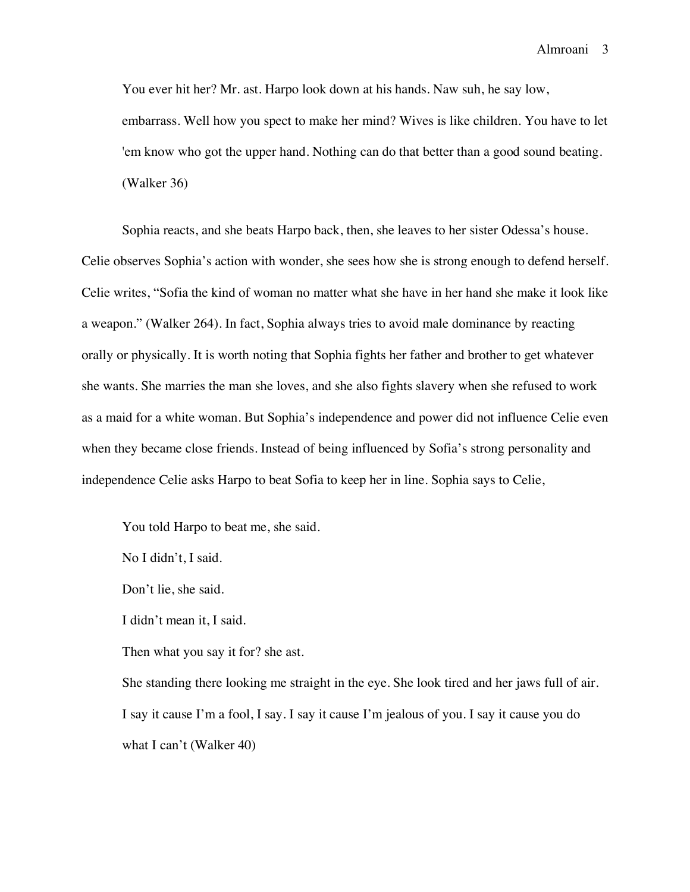You ever hit her? Mr. ast. Harpo look down at his hands. Naw suh, he say low, embarrass. Well how you spect to make her mind? Wives is like children. You have to let 'em know who got the upper hand. Nothing can do that better than a good sound beating. (Walker 36)

Sophia reacts, and she beats Harpo back, then, she leaves to her sister Odessa's house. Celie observes Sophia's action with wonder, she sees how she is strong enough to defend herself. Celie writes, "Sofia the kind of woman no matter what she have in her hand she make it look like a weapon." (Walker 264). In fact, Sophia always tries to avoid male dominance by reacting orally or physically. It is worth noting that Sophia fights her father and brother to get whatever she wants. She marries the man she loves, and she also fights slavery when she refused to work as a maid for a white woman. But Sophia's independence and power did not influence Celie even when they became close friends. Instead of being influenced by Sofia's strong personality and independence Celie asks Harpo to beat Sofia to keep her in line. Sophia says to Celie,

You told Harpo to beat me, she said.

No I didn't, I said.

Don't lie, she said.

I didn't mean it, I said.

Then what you say it for? she ast.

She standing there looking me straight in the eye. She look tired and her jaws full of air. I say it cause I'm a fool, I say. I say it cause I'm jealous of you. I say it cause you do what I can't (Walker 40)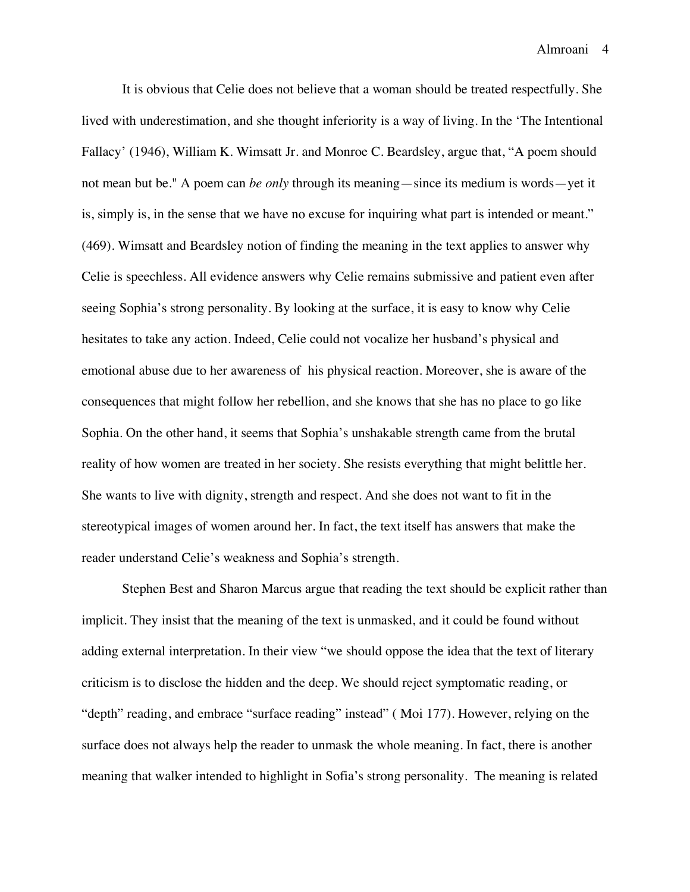It is obvious that Celie does not believe that a woman should be treated respectfully. She lived with underestimation, and she thought inferiority is a way of living. In the 'The Intentional Fallacy' (1946), William K. Wimsatt Jr. and Monroe C. Beardsley, argue that, "A poem should not mean but be." A poem can *be only* through its meaning—since its medium is words—yet it is, simply is, in the sense that we have no excuse for inquiring what part is intended or meant." (469). Wimsatt and Beardsley notion of finding the meaning in the text applies to answer why Celie is speechless. All evidence answers why Celie remains submissive and patient even after seeing Sophia's strong personality. By looking at the surface, it is easy to know why Celie hesitates to take any action. Indeed, Celie could not vocalize her husband's physical and emotional abuse due to her awareness of his physical reaction. Moreover, she is aware of the consequences that might follow her rebellion, and she knows that she has no place to go like Sophia. On the other hand, it seems that Sophia's unshakable strength came from the brutal reality of how women are treated in her society. She resists everything that might belittle her. She wants to live with dignity, strength and respect. And she does not want to fit in the stereotypical images of women around her. In fact, the text itself has answers that make the reader understand Celie's weakness and Sophia's strength.

Stephen Best and Sharon Marcus argue that reading the text should be explicit rather than implicit. They insist that the meaning of the text is unmasked, and it could be found without adding external interpretation. In their view "we should oppose the idea that the text of literary criticism is to disclose the hidden and the deep. We should reject symptomatic reading, or "depth" reading, and embrace "surface reading" instead" ( Moi 177). However, relying on the surface does not always help the reader to unmask the whole meaning. In fact, there is another meaning that walker intended to highlight in Sofia's strong personality. The meaning is related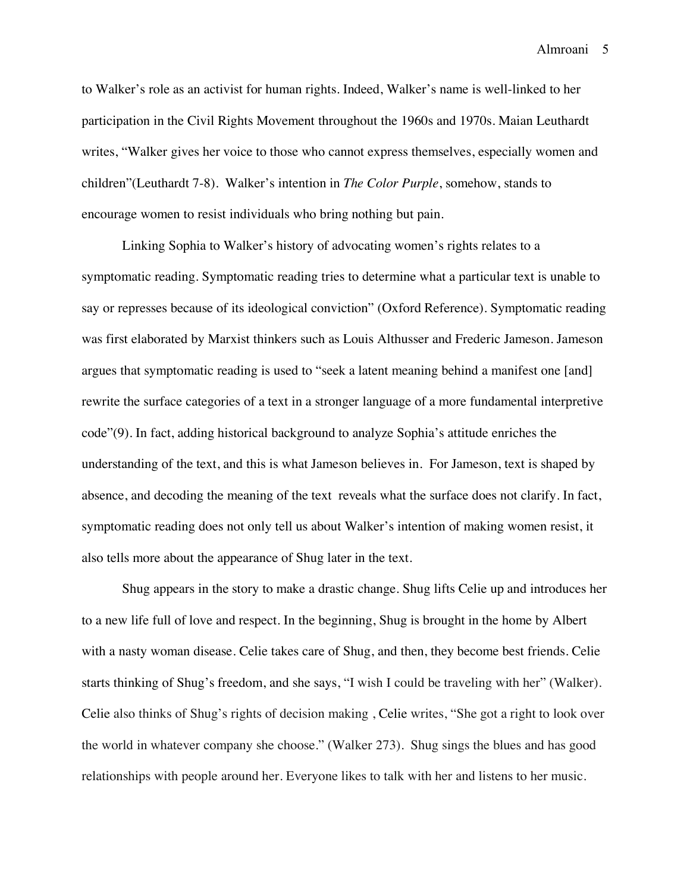to Walker's role as an activist for human rights. Indeed, Walker's name is well-linked to her participation in the Civil Rights Movement throughout the 1960s and 1970s. Maian Leuthardt writes, "Walker gives her voice to those who cannot express themselves, especially women and children"(Leuthardt 7-8). Walker's intention in *The Color Purple*, somehow, stands to encourage women to resist individuals who bring nothing but pain.

Linking Sophia to Walker's history of advocating women's rights relates to a symptomatic reading. Symptomatic reading tries to determine what a particular text is unable to say or represses because of its ideological conviction" (Oxford Reference). Symptomatic reading was first elaborated by Marxist thinkers such as Louis Althusser and Frederic Jameson. Jameson argues that symptomatic reading is used to "seek a latent meaning behind a manifest one [and] rewrite the surface categories of a text in a stronger language of a more fundamental interpretive code"(9). In fact, adding historical background to analyze Sophia's attitude enriches the understanding of the text, and this is what Jameson believes in. For Jameson, text is shaped by absence, and decoding the meaning of the text reveals what the surface does not clarify. In fact, symptomatic reading does not only tell us about Walker's intention of making women resist, it also tells more about the appearance of Shug later in the text.

Shug appears in the story to make a drastic change. Shug lifts Celie up and introduces her to a new life full of love and respect. In the beginning, Shug is brought in the home by Albert with a nasty woman disease. Celie takes care of Shug, and then, they become best friends. Celie starts thinking of Shug's freedom, and she says, "I wish I could be traveling with her" (Walker). Celie also thinks of Shug's rights of decision making , Celie writes, "She got a right to look over the world in whatever company she choose." (Walker 273). Shug sings the blues and has good relationships with people around her. Everyone likes to talk with her and listens to her music.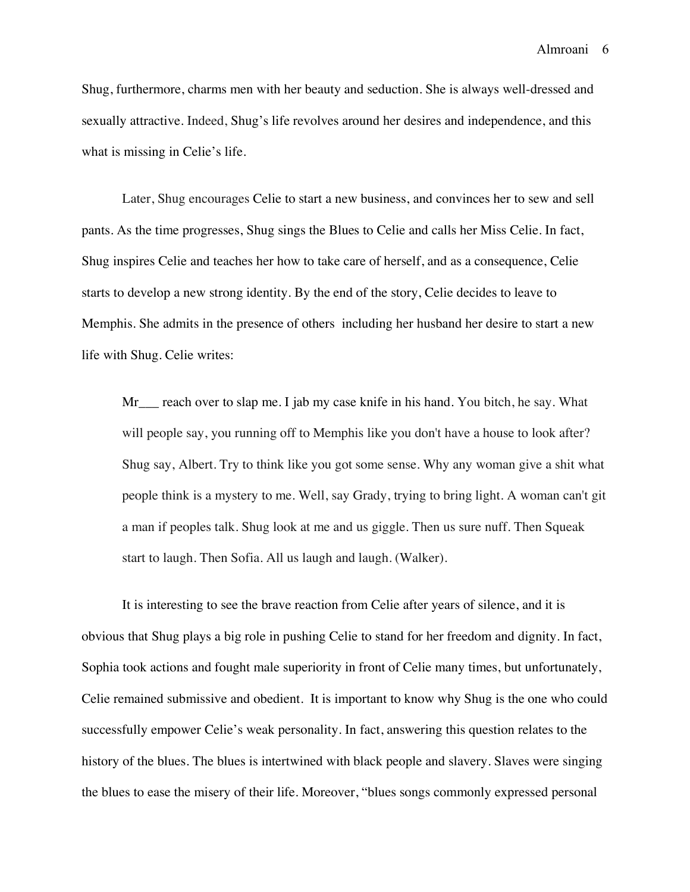Shug, furthermore, charms men with her beauty and seduction. She is always well-dressed and sexually attractive. Indeed, Shug's life revolves around her desires and independence, and this what is missing in Celie's life.

Later, Shug encourages Celie to start a new business, and convinces her to sew and sell pants. As the time progresses, Shug sings the Blues to Celie and calls her Miss Celie. In fact, Shug inspires Celie and teaches her how to take care of herself, and as a consequence, Celie starts to develop a new strong identity. By the end of the story, Celie decides to leave to Memphis. She admits in the presence of others including her husband her desire to start a new life with Shug. Celie writes:

Mr<sub>\_\_\_</sub> reach over to slap me. I jab my case knife in his hand. You bitch, he say. What will people say, you running off to Memphis like you don't have a house to look after? Shug say, Albert. Try to think like you got some sense. Why any woman give a shit what people think is a mystery to me. Well, say Grady, trying to bring light. A woman can't git a man if peoples talk. Shug look at me and us giggle. Then us sure nuff. Then Squeak start to laugh. Then Sofia. All us laugh and laugh. (Walker).

It is interesting to see the brave reaction from Celie after years of silence, and it is obvious that Shug plays a big role in pushing Celie to stand for her freedom and dignity. In fact, Sophia took actions and fought male superiority in front of Celie many times, but unfortunately, Celie remained submissive and obedient. It is important to know why Shug is the one who could successfully empower Celie's weak personality. In fact, answering this question relates to the history of the blues. The blues is intertwined with black people and slavery. Slaves were singing the blues to ease the misery of their life. Moreover, "blues songs commonly expressed personal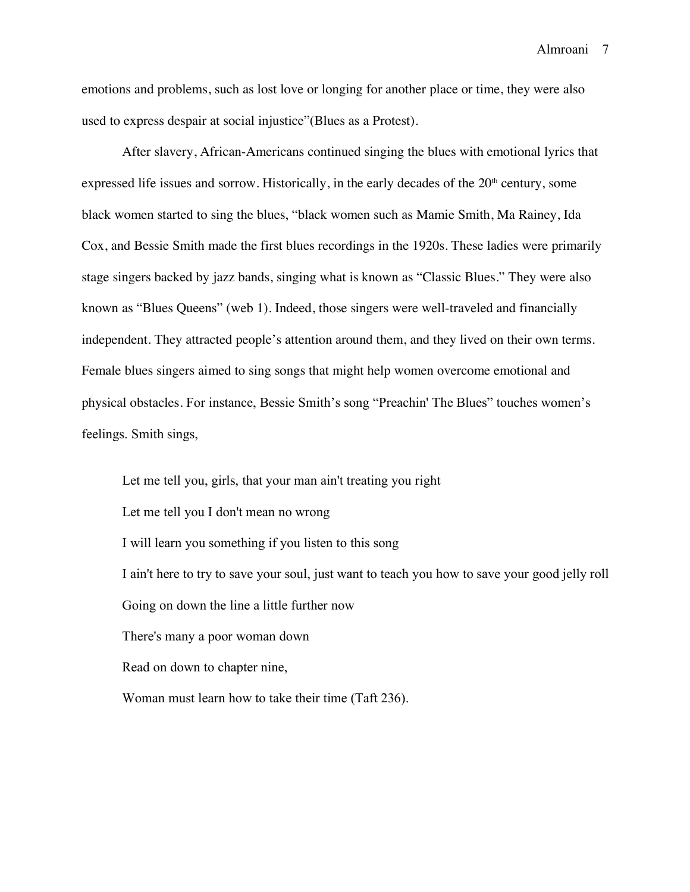emotions and problems, such as lost love or longing for another place or time, they were also used to express despair at social injustice"(Blues as a Protest).

After slavery, African-Americans continued singing the blues with emotional lyrics that expressed life issues and sorrow. Historically, in the early decades of the  $20<sup>th</sup>$  century, some black women started to sing the blues, "black women such as Mamie Smith, Ma Rainey, Ida Cox, and Bessie Smith made the first blues recordings in the 1920s. These ladies were primarily stage singers backed by jazz bands, singing what is known as "Classic Blues." They were also known as "Blues Queens" (web 1). Indeed, those singers were well-traveled and financially independent. They attracted people's attention around them, and they lived on their own terms. Female blues singers aimed to sing songs that might help women overcome emotional and physical obstacles. For instance, Bessie Smith's song "Preachin' The Blues" touches women's feelings. Smith sings,

Let me tell you, girls, that your man ain't treating you right Let me tell you I don't mean no wrong I will learn you something if you listen to this song I ain't here to try to save your soul, just want to teach you how to save your good jelly roll Going on down the line a little further now There's many a poor woman down Read on down to chapter nine, Woman must learn how to take their time (Taft 236).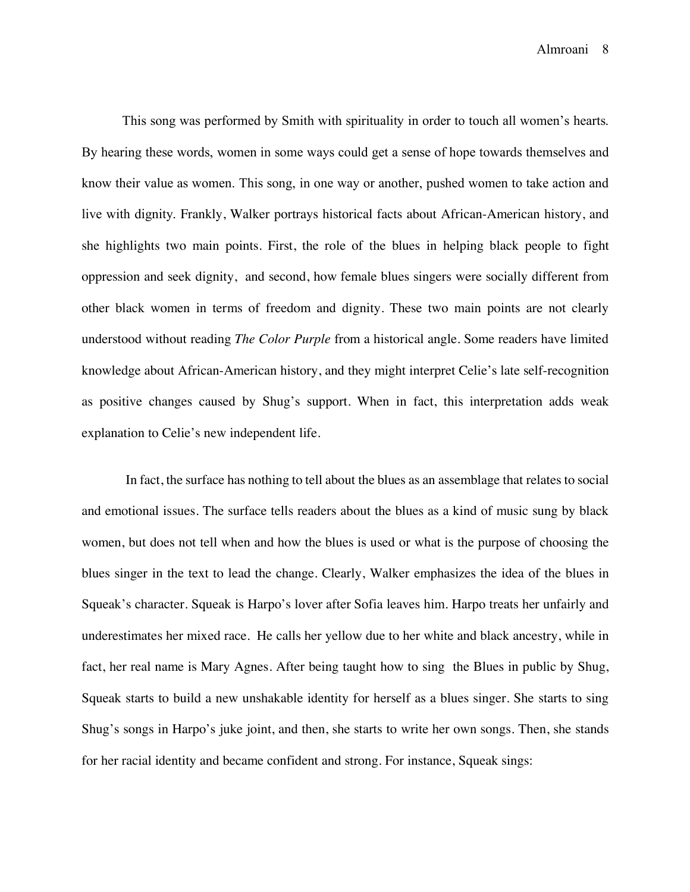This song was performed by Smith with spirituality in order to touch all women's hearts. By hearing these words, women in some ways could get a sense of hope towards themselves and know their value as women. This song, in one way or another, pushed women to take action and live with dignity. Frankly, Walker portrays historical facts about African-American history, and she highlights two main points. First, the role of the blues in helping black people to fight oppression and seek dignity, and second, how female blues singers were socially different from other black women in terms of freedom and dignity. These two main points are not clearly understood without reading *The Color Purple* from a historical angle. Some readers have limited knowledge about African-American history, and they might interpret Celie's late self-recognition as positive changes caused by Shug's support. When in fact, this interpretation adds weak explanation to Celie's new independent life.

In fact, the surface has nothing to tell about the blues as an assemblage that relates to social and emotional issues. The surface tells readers about the blues as a kind of music sung by black women, but does not tell when and how the blues is used or what is the purpose of choosing the blues singer in the text to lead the change. Clearly, Walker emphasizes the idea of the blues in Squeak's character. Squeak is Harpo's lover after Sofia leaves him. Harpo treats her unfairly and underestimates her mixed race. He calls her yellow due to her white and black ancestry, while in fact, her real name is Mary Agnes. After being taught how to sing the Blues in public by Shug, Squeak starts to build a new unshakable identity for herself as a blues singer. She starts to sing Shug's songs in Harpo's juke joint, and then, she starts to write her own songs. Then, she stands for her racial identity and became confident and strong. For instance, Squeak sings: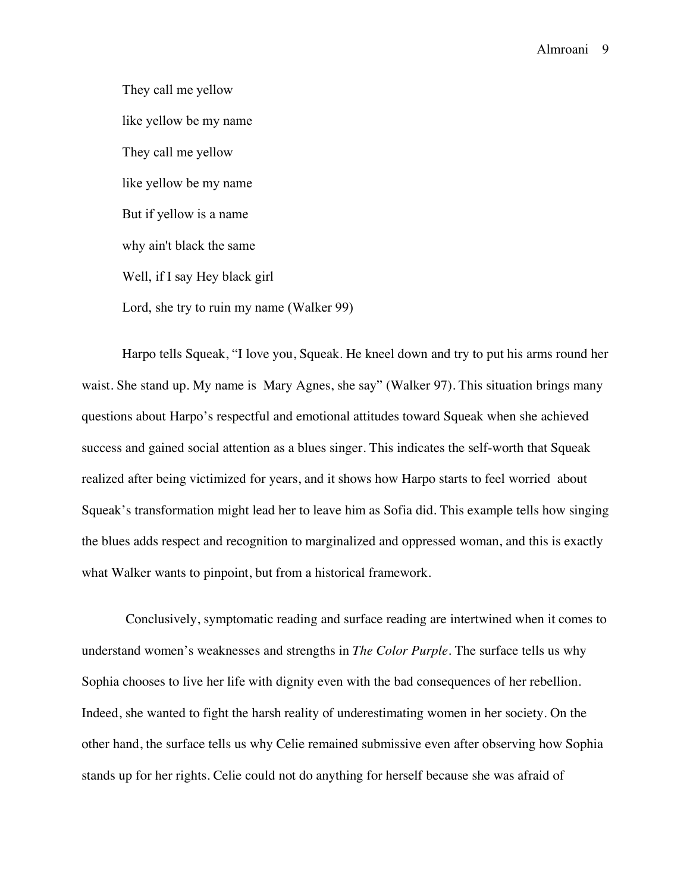They call me yellow like yellow be my name They call me yellow like yellow be my name But if yellow is a name why ain't black the same Well, if I say Hey black girl Lord, she try to ruin my name (Walker 99)

Harpo tells Squeak, "I love you, Squeak. He kneel down and try to put his arms round her waist. She stand up. My name is Mary Agnes, she say" (Walker 97). This situation brings many questions about Harpo's respectful and emotional attitudes toward Squeak when she achieved success and gained social attention as a blues singer. This indicates the self-worth that Squeak realized after being victimized for years, and it shows how Harpo starts to feel worried about Squeak's transformation might lead her to leave him as Sofia did. This example tells how singing the blues adds respect and recognition to marginalized and oppressed woman, and this is exactly what Walker wants to pinpoint, but from a historical framework.

Conclusively, symptomatic reading and surface reading are intertwined when it comes to understand women's weaknesses and strengths in *The Color Purple.* The surface tells us why Sophia chooses to live her life with dignity even with the bad consequences of her rebellion. Indeed, she wanted to fight the harsh reality of underestimating women in her society. On the other hand, the surface tells us why Celie remained submissive even after observing how Sophia stands up for her rights. Celie could not do anything for herself because she was afraid of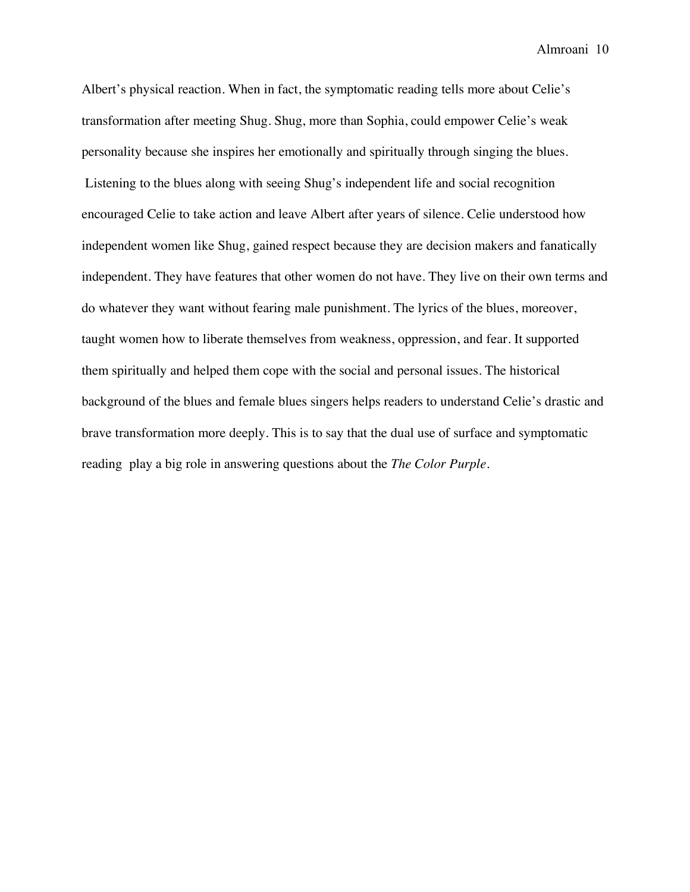Albert's physical reaction. When in fact, the symptomatic reading tells more about Celie's transformation after meeting Shug. Shug, more than Sophia, could empower Celie's weak personality because she inspires her emotionally and spiritually through singing the blues. Listening to the blues along with seeing Shug's independent life and social recognition encouraged Celie to take action and leave Albert after years of silence. Celie understood how independent women like Shug, gained respect because they are decision makers and fanatically independent. They have features that other women do not have. They live on their own terms and do whatever they want without fearing male punishment. The lyrics of the blues, moreover, taught women how to liberate themselves from weakness, oppression, and fear. It supported them spiritually and helped them cope with the social and personal issues. The historical background of the blues and female blues singers helps readers to understand Celie's drastic and brave transformation more deeply. This is to say that the dual use of surface and symptomatic reading play a big role in answering questions about the *The Color Purple*.